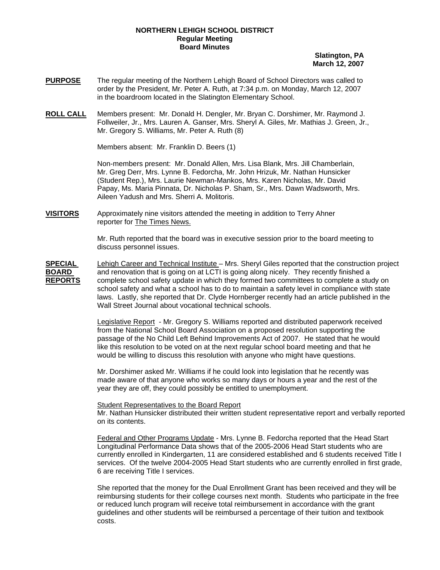#### **NORTHERN LEHIGH SCHOOL DISTRICT Regular Meeting Board Minutes**

**Slatington, PA March 12, 2007**

- **PURPOSE** The regular meeting of the Northern Lehigh Board of School Directors was called to order by the President, Mr. Peter A. Ruth, at 7:34 p.m. on Monday, March 12, 2007 in the boardroom located in the Slatington Elementary School.
- **ROLL CALL** Members present: Mr. Donald H. Dengler, Mr. Bryan C. Dorshimer, Mr. Raymond J. Follweiler, Jr., Mrs. Lauren A. Ganser, Mrs. Sheryl A. Giles, Mr. Mathias J. Green, Jr., Mr. Gregory S. Williams, Mr. Peter A. Ruth (8)

Members absent: Mr. Franklin D. Beers (1)

Non-members present: Mr. Donald Allen, Mrs. Lisa Blank, Mrs. Jill Chamberlain, Mr. Greg Derr, Mrs. Lynne B. Fedorcha, Mr. John Hrizuk, Mr. Nathan Hunsicker (Student Rep.), Mrs. Laurie Newman-Mankos, Mrs. Karen Nicholas, Mr. David Papay, Ms. Maria Pinnata, Dr. Nicholas P. Sham, Sr., Mrs. Dawn Wadsworth, Mrs. Aileen Yadush and Mrs. Sherri A. Molitoris.

**VISITORS** Approximately nine visitors attended the meeting in addition to Terry Ahner reporter for The Times News.

> Mr. Ruth reported that the board was in executive session prior to the board meeting to discuss personnel issues.

**SPECIAL** Lehigh Career and Technical Institute – Mrs. Sheryl Giles reported that the construction project **BOARD** and renovation that is going on at LCTI is going along nicely. They recently finished a **REPORTS** complete school safety update in which they formed two committees to complete a study on school safety and what a school has to do to maintain a safety level in compliance with state laws. Lastly, she reported that Dr. Clyde Hornberger recently had an article published in the Wall Street Journal about vocational technical schools.

> Legislative Report - Mr. Gregory S. Williams reported and distributed paperwork received from the National School Board Association on a proposed resolution supporting the passage of the No Child Left Behind Improvements Act of 2007. He stated that he would like this resolution to be voted on at the next regular school board meeting and that he would be willing to discuss this resolution with anyone who might have questions.

 Mr. Dorshimer asked Mr. Williams if he could look into legislation that he recently was made aware of that anyone who works so many days or hours a year and the rest of the year they are off, they could possibly be entitled to unemployment.

Student Representatives to the Board Report

 Mr. Nathan Hunsicker distributed their written student representative report and verbally reported on its contents.

Federal and Other Programs Update - Mrs. Lynne B. Fedorcha reported that the Head Start Longitudinal Performance Data shows that of the 2005-2006 Head Start students who are currently enrolled in Kindergarten, 11 are considered established and 6 students received Title I services. Of the twelve 2004-2005 Head Start students who are currently enrolled in first grade, 6 are receiving Title I services.

She reported that the money for the Dual Enrollment Grant has been received and they will be reimbursing students for their college courses next month. Students who participate in the free or reduced lunch program will receive total reimbursement in accordance with the grant guidelines and other students will be reimbursed a percentage of their tuition and textbook costs.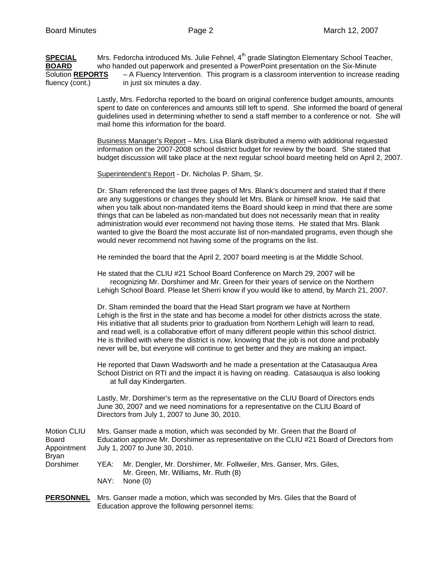SPECIAL Mrs. Fedorcha introduced Ms. Julie Fehnel, 4<sup>th</sup> grade Slatington Elementary School Teacher, **BOARD** who handed out paperwork and presented a PowerPoint presentation on the Six-Minute Solution **REPORTS** – A Fluency Intervention. This program is a classroom intervention to increase reading fluency (cont.) in just six minutes a day.

> Lastly, Mrs. Fedorcha reported to the board on original conference budget amounts, amounts spent to date on conferences and amounts still left to spend. She informed the board of general guidelines used in determining whether to send a staff member to a conference or not. She will mail home this information for the board.

> Business Manager's Report – Mrs. Lisa Blank distributed a memo with additional requested information on the 2007-2008 school district budget for review by the board. She stated that budget discussion will take place at the next regular school board meeting held on April 2, 2007.

Superintendent's Report - Dr. Nicholas P. Sham, Sr.

Dr. Sham referenced the last three pages of Mrs. Blank's document and stated that if there are any suggestions or changes they should let Mrs. Blank or himself know. He said that when you talk about non-mandated items the Board should keep in mind that there are some things that can be labeled as non-mandated but does not necessarily mean that in reality administration would ever recommend not having those items. He stated that Mrs. Blank wanted to give the Board the most accurate list of non-mandated programs, even though she would never recommend not having some of the programs on the list.

He reminded the board that the April 2, 2007 board meeting is at the Middle School.

 He stated that the CLIU #21 School Board Conference on March 29, 2007 will be recognizing Mr. Dorshimer and Mr. Green for their years of service on the Northern Lehigh School Board. Please let Sherri know if you would like to attend, by March 21, 2007.

 Dr. Sham reminded the board that the Head Start program we have at Northern Lehigh is the first in the state and has become a model for other districts across the state. His initiative that all students prior to graduation from Northern Lehigh will learn to read, and read well, is a collaborative effort of many different people within this school district. He is thrilled with where the district is now, knowing that the job is not done and probably never will be, but everyone will continue to get better and they are making an impact.

 He reported that Dawn Wadsworth and he made a presentation at the Catasauqua Area School District on RTI and the impact it is having on reading. Catasauqua is also looking at full day Kindergarten.

 Lastly, Mr. Dorshimer's term as the representative on the CLIU Board of Directors ends June 30, 2007 and we need nominations for a representative on the CLIU Board of Directors from July 1, 2007 to June 30, 2010.

| Motion CLIU  | Mrs. Ganser made a motion, which was seconded by Mr. Green that the Board of                                          |  |  |  |
|--------------|-----------------------------------------------------------------------------------------------------------------------|--|--|--|
| <b>Board</b> | Education approve Mr. Dorshimer as representative on the CLIU #21 Board of Directors from                             |  |  |  |
| Appointment  | July 1, 2007 to June 30, 2010.                                                                                        |  |  |  |
| Bryan        |                                                                                                                       |  |  |  |
| Dorshimer    | Mr. Dengler, Mr. Dorshimer, Mr. Follweiler, Mrs. Ganser, Mrs. Giles,<br>YEA:<br>Mr. Green, Mr. Williams, Mr. Ruth (8) |  |  |  |
|              | NAY:<br>None $(0)$                                                                                                    |  |  |  |

**PERSONNEL** Mrs. Ganser made a motion, which was seconded by Mrs. Giles that the Board of Education approve the following personnel items: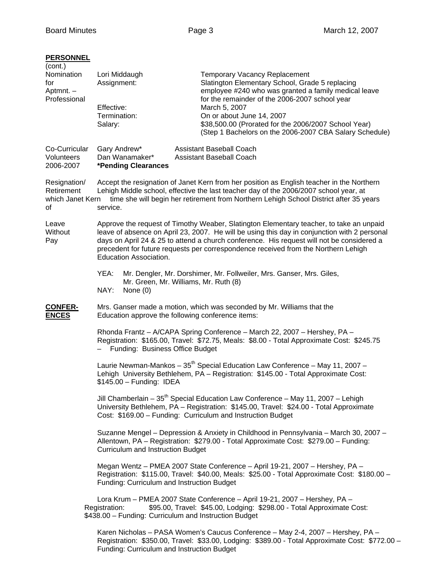# **PERSONNEL**

| (cont.)<br>Nomination<br>for<br>Aptmnt. -<br>Professional | Lori Middaugh<br>Assignment:<br>Effective:<br>Termination:<br>Salary:                                                                                                                                                                                                                                                                                                                                | <b>Temporary Vacancy Replacement</b><br>Slatington Elementary School, Grade 5 replacing<br>employee #240 who was granted a family medical leave<br>for the remainder of the 2006-2007 school year<br>March 5, 2007<br>On or about June 14, 2007<br>\$38,500.00 (Prorated for the 2006/2007 School Year)<br>(Step 1 Bachelors on the 2006-2007 CBA Salary Schedule) |  |  |  |  |
|-----------------------------------------------------------|------------------------------------------------------------------------------------------------------------------------------------------------------------------------------------------------------------------------------------------------------------------------------------------------------------------------------------------------------------------------------------------------------|--------------------------------------------------------------------------------------------------------------------------------------------------------------------------------------------------------------------------------------------------------------------------------------------------------------------------------------------------------------------|--|--|--|--|
| Co-Curricular<br>Volunteers<br>2006-2007                  | Gary Andrew*<br>Dan Wanamaker*<br>*Pending Clearances                                                                                                                                                                                                                                                                                                                                                | <b>Assistant Baseball Coach</b><br><b>Assistant Baseball Coach</b>                                                                                                                                                                                                                                                                                                 |  |  |  |  |
| Resignation/<br>Retirement<br>which Janet Kern<br>οf      | service.                                                                                                                                                                                                                                                                                                                                                                                             | Accept the resignation of Janet Kern from her position as English teacher in the Northern<br>Lehigh Middle school, effective the last teacher day of the 2006/2007 school year, at<br>time she will begin her retirement from Northern Lehigh School District after 35 years                                                                                       |  |  |  |  |
| Leave<br>Without<br>Pay                                   | Approve the request of Timothy Weaber, Slatington Elementary teacher, to take an unpaid<br>leave of absence on April 23, 2007. He will be using this day in conjunction with 2 personal<br>days on April 24 & 25 to attend a church conference. His request will not be considered a<br>precedent for future requests per correspondence received from the Northern Lehigh<br>Education Association. |                                                                                                                                                                                                                                                                                                                                                                    |  |  |  |  |
|                                                           | YEA:<br>NAY:<br>None $(0)$                                                                                                                                                                                                                                                                                                                                                                           | Mr. Dengler, Mr. Dorshimer, Mr. Follweiler, Mrs. Ganser, Mrs. Giles,<br>Mr. Green, Mr. Williams, Mr. Ruth (8)                                                                                                                                                                                                                                                      |  |  |  |  |
| <b>CONFER-</b><br><b>ENCES</b>                            | Mrs. Ganser made a motion, which was seconded by Mr. Williams that the<br>Education approve the following conference items:                                                                                                                                                                                                                                                                          |                                                                                                                                                                                                                                                                                                                                                                    |  |  |  |  |
|                                                           | Rhonda Frantz - A/CAPA Spring Conference - March 22, 2007 - Hershey, PA -<br>Registration: \$165.00, Travel: \$72.75, Meals: \$8.00 - Total Approximate Cost: \$245.75<br>Funding: Business Office Budget                                                                                                                                                                                            |                                                                                                                                                                                                                                                                                                                                                                    |  |  |  |  |
|                                                           | $$145.00 - Funding: IDEA$                                                                                                                                                                                                                                                                                                                                                                            | Laurie Newman-Mankos - $35th$ Special Education Law Conference - May 11, 2007 -<br>Lehigh University Bethlehem, PA - Registration: \$145.00 - Total Approximate Cost:                                                                                                                                                                                              |  |  |  |  |
|                                                           |                                                                                                                                                                                                                                                                                                                                                                                                      | Jill Chamberlain - 35 <sup>th</sup> Special Education Law Conference - May 11, 2007 - Lehigh<br>University Bethlehem, PA - Registration: \$145.00, Travel: \$24.00 - Total Approximate<br>Cost: \$169.00 - Funding: Curriculum and Instruction Budget                                                                                                              |  |  |  |  |
|                                                           | Suzanne Mengel - Depression & Anxiety in Childhood in Pennsylvania - March 30, 2007 -<br>Allentown, PA - Registration: \$279.00 - Total Approximate Cost: \$279.00 - Funding:<br><b>Curriculum and Instruction Budget</b>                                                                                                                                                                            |                                                                                                                                                                                                                                                                                                                                                                    |  |  |  |  |
|                                                           | Megan Wentz - PMEA 2007 State Conference - April 19-21, 2007 - Hershey, PA -<br>Registration: \$115.00, Travel: \$40.00, Meals: \$25.00 - Total Approximate Cost: \$180.00 -<br>Funding: Curriculum and Instruction Budget                                                                                                                                                                           |                                                                                                                                                                                                                                                                                                                                                                    |  |  |  |  |
|                                                           | Registration:                                                                                                                                                                                                                                                                                                                                                                                        | Lora Krum - PMEA 2007 State Conference - April 19-21, 2007 - Hershey, PA -<br>\$95.00, Travel: \$45.00, Lodging: \$298.00 - Total Approximate Cost:<br>\$438.00 - Funding: Curriculum and Instruction Budget                                                                                                                                                       |  |  |  |  |
|                                                           |                                                                                                                                                                                                                                                                                                                                                                                                      | Karen Nicholas - PASA Women's Caucus Conference - May 2-4, 2007 - Hershey, PA -<br>Registration: \$350.00, Travel: \$33.00, Lodging: \$389.00 - Total Approximate Cost: \$772.00 -                                                                                                                                                                                 |  |  |  |  |

Funding: Curriculum and Instruction Budget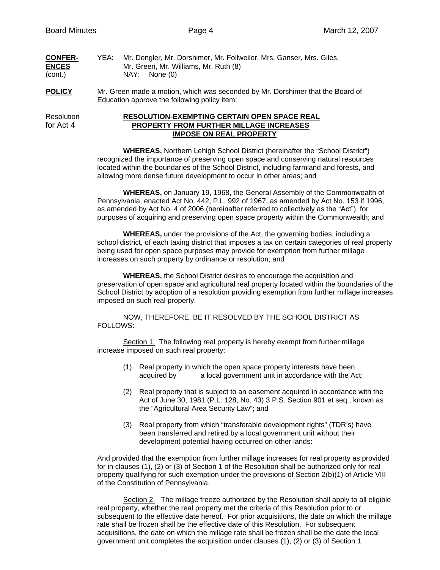| <b>CONFER-</b> | YEA: | Mr. Dengler, Mr. Dorshimer, Mr. Follweiler, Mrs. Ganser, Mrs. Giles, |
|----------------|------|----------------------------------------------------------------------|
| <b>ENCES</b>   |      | Mr. Green, Mr. Williams, Mr. Ruth (8)                                |
| (cont.)        |      | NAY: None (0)                                                        |

**POLICY** Mr. Green made a motion, which was seconded by Mr. Dorshimer that the Board of Education approve the following policy item:

# Resolution **RESOLUTION-EXEMPTING CERTAIN OPEN SPACE REAL** for Act 4 **PROPERTY FROM FURTHER MILLAGE INCREASES IMPOSE ON REAL PROPERTY**

**WHEREAS,** Northern Lehigh School District (hereinafter the "School District") recognized the importance of preserving open space and conserving natural resources located within the boundaries of the School District, including farmland and forests, and allowing more dense future development to occur in other areas; and

**WHEREAS,** on January 19, 1968, the General Assembly of the Commonwealth of Pennsylvania, enacted Act No. 442, P.L. 992 of 1967, as amended by Act No. 153 if 1996, as amended by Act No. 4 of 2006 (hereinafter referred to collectively as the "Act"), for purposes of acquiring and preserving open space property within the Commonwealth; and

**WHEREAS,** under the provisions of the Act, the governing bodies, including a school district, of each taxing district that imposes a tax on certain categories of real property being used for open space purposes may provide for exemption from further millage increases on such property by ordinance or resolution; and

**WHEREAS,** the School District desires to encourage the acquisition and preservation of open space and agricultural real property located within the boundaries of the School District by adoption of a resolution providing exemption from further millage increases imposed on such real property.

 NOW, THEREFORE, BE IT RESOLVED BY THE SCHOOL DISTRICT AS FOLLOWS:

 Section 1. The following real property is hereby exempt from further millage increase imposed on such real property:

- (1) Real property in which the open space property interests have been acquired by a local government unit in accordance with the Act;
- (2) Real property that is subject to an easement acquired in accordance with the Act of June 30, 1981 (P.L. 128, No. 43) 3 P.S. Section 901 et seq., known as the "Agricultural Area Security Law"; and
- (3) Real property from which "transferable development rights" (TDR's) have been transferred and retired by a local government unit without their development potential having occurred on other lands:

And provided that the exemption from further millage increases for real property as provided for in clauses (1), (2) or (3) of Section 1 of the Resolution shall be authorized only for real property qualifying for such exemption under the provisions of Section 2(b)(1) of Article VIII of the Constitution of Pennsylvania.

 Section 2. The millage freeze authorized by the Resolution shall apply to all eligible real property, whether the real property met the criteria of this Resolution prior to or subsequent to the effective date hereof. For prior acquisitions, the date on which the millage rate shall be frozen shall be the effective date of this Resolution. For subsequent acquisitions, the date on which the millage rate shall be frozen shall be the date the local government unit completes the acquisition under clauses (1), (2) or (3) of Section 1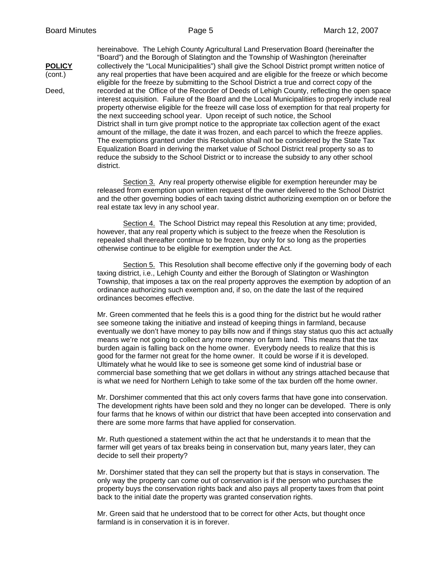hereinabove. The Lehigh County Agricultural Land Preservation Board (hereinafter the "Board") and the Borough of Slatington and the Township of Washington (hereinafter **POLICY** collectively the "Local Municipalities") shall give the School District prompt written notice of (cont.) any real properties that have been acquired and are eligible for the freeze or which become eligible for the freeze by submitting to the School District a true and correct copy of the Deed, recorded at the Office of the Recorder of Deeds of Lehigh County, reflecting the open space interest acquisition. Failure of the Board and the Local Municipalities to properly include real property otherwise eligible for the freeze will case loss of exemption for that real property for the next succeeding school year. Upon receipt of such notice, the School District shall in turn give prompt notice to the appropriate tax collection agent of the exact amount of the millage, the date it was frozen, and each parcel to which the freeze applies. The exemptions granted under this Resolution shall not be considered by the State Tax Equalization Board in deriving the market value of School District real property so as to reduce the subsidy to the School District or to increase the subsidy to any other school district.

> Section 3. Any real property otherwise eligible for exemption hereunder may be released from exemption upon written request of the owner delivered to the School District and the other governing bodies of each taxing district authorizing exemption on or before the real estate tax levy in any school year.

Section 4. The School District may repeal this Resolution at any time; provided, however, that any real property which is subject to the freeze when the Resolution is repealed shall thereafter continue to be frozen, buy only for so long as the properties otherwise continue to be eligible for exemption under the Act.

Section 5. This Resolution shall become effective only if the governing body of each taxing district, i.e., Lehigh County and either the Borough of Slatington or Washington Township, that imposes a tax on the real property approves the exemption by adoption of an ordinance authorizing such exemption and, if so, on the date the last of the required ordinances becomes effective.

Mr. Green commented that he feels this is a good thing for the district but he would rather see someone taking the initiative and instead of keeping things in farmland, because eventually we don't have money to pay bills now and if things stay status quo this act actually means we're not going to collect any more money on farm land. This means that the tax burden again is falling back on the home owner. Everybody needs to realize that this is good for the farmer not great for the home owner. It could be worse if it is developed. Ultimately what he would like to see is someone get some kind of industrial base or commercial base something that we get dollars in without any strings attached because that is what we need for Northern Lehigh to take some of the tax burden off the home owner.

Mr. Dorshimer commented that this act only covers farms that have gone into conservation. The development rights have been sold and they no longer can be developed. There is only four farms that he knows of within our district that have been accepted into conservation and there are some more farms that have applied for conservation.

Mr. Ruth questioned a statement within the act that he understands it to mean that the farmer will get years of tax breaks being in conservation but, many years later, they can decide to sell their property?

Mr. Dorshimer stated that they can sell the property but that is stays in conservation. The only way the property can come out of conservation is if the person who purchases the property buys the conservation rights back and also pays all property taxes from that point back to the initial date the property was granted conservation rights.

Mr. Green said that he understood that to be correct for other Acts, but thought once farmland is in conservation it is in forever.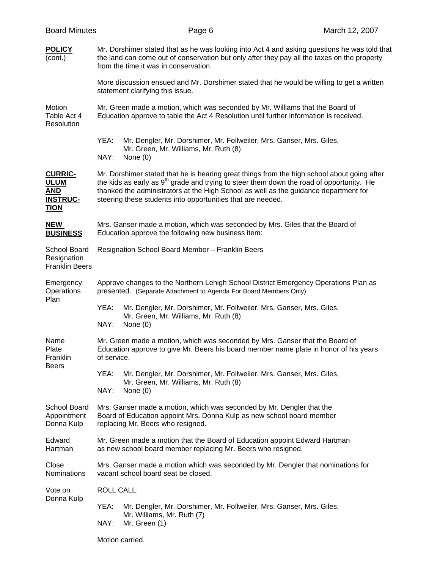| <b>Board Minutes</b>                                                          |                                                                                                                                                                                                                                                                                                                                                            | Page 6                                                                                                                        | March 12, 2007 |  |  |  |
|-------------------------------------------------------------------------------|------------------------------------------------------------------------------------------------------------------------------------------------------------------------------------------------------------------------------------------------------------------------------------------------------------------------------------------------------------|-------------------------------------------------------------------------------------------------------------------------------|----------------|--|--|--|
| <b>POLICY</b><br>(cont.)                                                      | Mr. Dorshimer stated that as he was looking into Act 4 and asking questions he was told that<br>the land can come out of conservation but only after they pay all the taxes on the property<br>from the time it was in conservation.                                                                                                                       |                                                                                                                               |                |  |  |  |
|                                                                               |                                                                                                                                                                                                                                                                                                                                                            | More discussion ensued and Mr. Dorshimer stated that he would be willing to get a written<br>statement clarifying this issue. |                |  |  |  |
| Motion<br>Table Act 4<br>Resolution                                           | Mr. Green made a motion, which was seconded by Mr. Williams that the Board of<br>Education approve to table the Act 4 Resolution until further information is received.                                                                                                                                                                                    |                                                                                                                               |                |  |  |  |
|                                                                               | YEA:<br>NAY:                                                                                                                                                                                                                                                                                                                                               | Mr. Dengler, Mr. Dorshimer, Mr. Follweiler, Mrs. Ganser, Mrs. Giles,<br>Mr. Green, Mr. Williams, Mr. Ruth (8)<br>None (0)     |                |  |  |  |
| <b>CURRIC-</b><br><b>ULUM</b><br><b>AND</b><br><b>INSTRUC-</b><br><b>TION</b> | Mr. Dorshimer stated that he is hearing great things from the high school about going after<br>the kids as early as 9 <sup>th</sup> grade and trying to steer them down the road of opportunity. He<br>thanked the administrators at the High School as well as the guidance department for<br>steering these students into opportunities that are needed. |                                                                                                                               |                |  |  |  |
| <b>NEW</b><br><b>BUSINESS</b>                                                 | Mrs. Ganser made a motion, which was seconded by Mrs. Giles that the Board of<br>Education approve the following new business item:                                                                                                                                                                                                                        |                                                                                                                               |                |  |  |  |
| School Board<br>Resignation<br><b>Franklin Beers</b>                          | Resignation School Board Member - Franklin Beers                                                                                                                                                                                                                                                                                                           |                                                                                                                               |                |  |  |  |
| Emergency<br>Operations                                                       | Approve changes to the Northern Lehigh School District Emergency Operations Plan as<br>presented. (Separate Attachment to Agenda For Board Members Only)                                                                                                                                                                                                   |                                                                                                                               |                |  |  |  |
| Plan                                                                          | YEA:<br>NAY:                                                                                                                                                                                                                                                                                                                                               | Mr. Dengler, Mr. Dorshimer, Mr. Follweiler, Mrs. Ganser, Mrs. Giles,<br>Mr. Green, Mr. Williams, Mr. Ruth (8)<br>None $(0)$   |                |  |  |  |
| Name<br>Plate<br>Franklin<br><b>Beers</b>                                     | Mr. Green made a motion, which was seconded by Mrs. Ganser that the Board of<br>Education approve to give Mr. Beers his board member name plate in honor of his years<br>of service.                                                                                                                                                                       |                                                                                                                               |                |  |  |  |
|                                                                               | YEA:<br>NAY:                                                                                                                                                                                                                                                                                                                                               | Mr. Dengler, Mr. Dorshimer, Mr. Follweiler, Mrs. Ganser, Mrs. Giles,<br>Mr. Green, Mr. Williams, Mr. Ruth (8)<br>None $(0)$   |                |  |  |  |
| School Board<br>Appointment<br>Donna Kulp                                     | Mrs. Ganser made a motion, which was seconded by Mr. Dengler that the<br>Board of Education appoint Mrs. Donna Kulp as new school board member<br>replacing Mr. Beers who resigned.                                                                                                                                                                        |                                                                                                                               |                |  |  |  |
| Edward<br>Hartman                                                             | Mr. Green made a motion that the Board of Education appoint Edward Hartman<br>as new school board member replacing Mr. Beers who resigned.                                                                                                                                                                                                                 |                                                                                                                               |                |  |  |  |
| Close<br>Nominations                                                          | Mrs. Ganser made a motion which was seconded by Mr. Dengler that nominations for<br>vacant school board seat be closed.                                                                                                                                                                                                                                    |                                                                                                                               |                |  |  |  |
| Vote on<br>Donna Kulp                                                         | <b>ROLL CALL:</b>                                                                                                                                                                                                                                                                                                                                          |                                                                                                                               |                |  |  |  |
|                                                                               | YEA:<br>Mr. Dengler, Mr. Dorshimer, Mr. Follweiler, Mrs. Ganser, Mrs. Giles,<br>Mr. Williams, Mr. Ruth (7)<br>NAY:<br>Mr. Green (1)                                                                                                                                                                                                                        |                                                                                                                               |                |  |  |  |
|                                                                               | Motion carried.                                                                                                                                                                                                                                                                                                                                            |                                                                                                                               |                |  |  |  |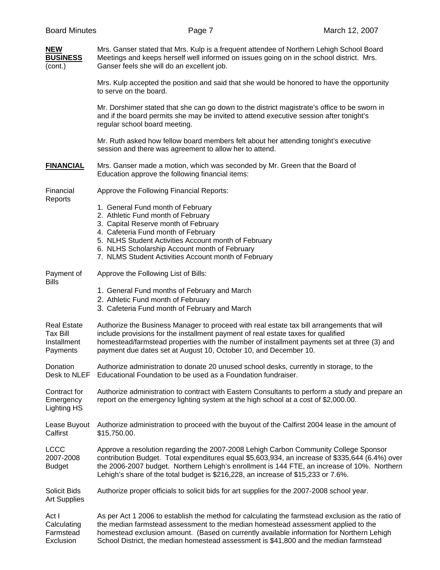| <b>NEW</b><br><b>BUSINESS</b><br>(cont.)                         | Mrs. Ganser stated that Mrs. Kulp is a frequent attendee of Northern Lehigh School Board<br>Meetings and keeps herself well informed on issues going on in the school district. Mrs.<br>Ganser feels she will do an excellent job.                                                                                                                                           |  |  |  |
|------------------------------------------------------------------|------------------------------------------------------------------------------------------------------------------------------------------------------------------------------------------------------------------------------------------------------------------------------------------------------------------------------------------------------------------------------|--|--|--|
|                                                                  | Mrs. Kulp accepted the position and said that she would be honored to have the opportunity<br>to serve on the board.                                                                                                                                                                                                                                                         |  |  |  |
|                                                                  | Mr. Dorshimer stated that she can go down to the district magistrate's office to be sworn in<br>and if the board permits she may be invited to attend executive session after tonight's<br>regular school board meeting.                                                                                                                                                     |  |  |  |
|                                                                  | Mr. Ruth asked how fellow board members felt about her attending tonight's executive<br>session and there was agreement to allow her to attend.                                                                                                                                                                                                                              |  |  |  |
| <b>FINANCIAL</b>                                                 | Mrs. Ganser made a motion, which was seconded by Mr. Green that the Board of<br>Education approve the following financial items:                                                                                                                                                                                                                                             |  |  |  |
| Financial<br>Reports                                             | Approve the Following Financial Reports:                                                                                                                                                                                                                                                                                                                                     |  |  |  |
|                                                                  | 1. General Fund month of February<br>2. Athletic Fund month of February<br>3. Capital Reserve month of February<br>4. Cafeteria Fund month of February<br>5. NLHS Student Activities Account month of February<br>6. NLHS Scholarship Account month of February<br>7. NLMS Student Activities Account month of February                                                      |  |  |  |
| Payment of<br><b>Bills</b>                                       | Approve the Following List of Bills:                                                                                                                                                                                                                                                                                                                                         |  |  |  |
|                                                                  | 1. General Fund months of February and March<br>2. Athletic Fund month of February<br>3. Cafeteria Fund month of February and March                                                                                                                                                                                                                                          |  |  |  |
| <b>Real Estate</b><br><b>Tax Bill</b><br>Installment<br>Payments | Authorize the Business Manager to proceed with real estate tax bill arrangements that will<br>include provisions for the installment payment of real estate taxes for qualified<br>homestead/farmstead properties with the number of installment payments set at three (3) and<br>payment due dates set at August 10, October 10, and December 10.                           |  |  |  |
| Donation<br>Desk to NLEF                                         | Authorize administration to donate 20 unused school desks, currently in storage, to the<br>Educational Foundation to be used as a Foundation fundraiser.                                                                                                                                                                                                                     |  |  |  |
| Contract for<br>Emergency<br><b>Lighting HS</b>                  | Authorize administration to contract with Eastern Consultants to perform a study and prepare an<br>report on the emergency lighting system at the high school at a cost of \$2,000.00.                                                                                                                                                                                       |  |  |  |
| Lease Buyout<br>Calfirst                                         | Authorize administration to proceed with the buyout of the Calfirst 2004 lease in the amount of<br>\$15,750.00.                                                                                                                                                                                                                                                              |  |  |  |
| LCCC<br>2007-2008<br><b>Budget</b>                               | Approve a resolution regarding the 2007-2008 Lehigh Carbon Community College Sponsor<br>contribution Budget. Total expenditures equal \$5,603,934, an increase of \$335,644 (6.4%) over<br>the 2006-2007 budget. Northern Lehigh's enrollment is 144 FTE, an increase of 10%. Northern<br>Lehigh's share of the total budget is \$216,228, an increase of \$15,233 or 7.6%.  |  |  |  |
| <b>Solicit Bids</b><br><b>Art Supplies</b>                       | Authorize proper officials to solicit bids for art supplies for the 2007-2008 school year.                                                                                                                                                                                                                                                                                   |  |  |  |
| Act I<br>Calculating<br>Farmstead<br>Exclusion                   | As per Act 1 2006 to establish the method for calculating the farmstead exclusion as the ratio of<br>the median farmstead assessment to the median homestead assessment applied to the<br>homestead exclusion amount. (Based on currently available information for Northern Lehigh<br>School District, the median homestead assessment is \$41,800 and the median farmstead |  |  |  |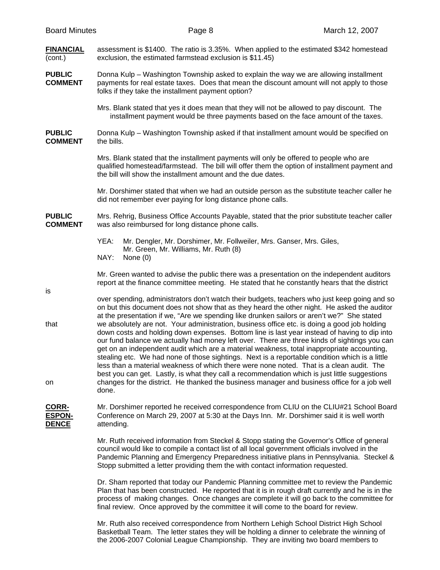is

# **FINANCIAL** assessment is \$1400. The ratio is 3.35%. When applied to the estimated \$342 homestead (cont.) exclusion, the estimated farmstead exclusion is \$11.45)

#### **PUBLIC** Donna Kulp – Washington Township asked to explain the way we are allowing installment **COMMENT** payments for real estate taxes. Does that mean the discount amount will not apply to those payments for real estate taxes. Does that mean the discount amount will not apply to those folks if they take the installment payment option?

 Mrs. Blank stated that yes it does mean that they will not be allowed to pay discount. The installment payment would be three payments based on the face amount of the taxes.

**PUBLIC** Donna Kulp – Washington Township asked if that installment amount would be specified on **COMMENT** the bills.

> Mrs. Blank stated that the installment payments will only be offered to people who are qualified homestead/farmstead. The bill will offer them the option of installment payment and the bill will show the installment amount and the due dates.

> Mr. Dorshimer stated that when we had an outside person as the substitute teacher caller he did not remember ever paying for long distance phone calls.

**PUBLIC** Mrs. Rehrig, Business Office Accounts Payable, stated that the prior substitute teacher caller **COMMENT** was also reimbursed for long distance phone calls.

> YEA: Mr. Dengler, Mr. Dorshimer, Mr. Follweiler, Mrs. Ganser, Mrs. Giles, Mr. Green, Mr. Williams, Mr. Ruth (8)<br>NAY: None (0) None (0)

 Mr. Green wanted to advise the public there was a presentation on the independent auditors report at the finance committee meeting. He stated that he constantly hears that the district

 over spending, administrators don't watch their budgets, teachers who just keep going and so on but this document does not show that as they heard the other night. He asked the auditor at the presentation if we, "Are we spending like drunken sailors or aren't we?" She stated that we absolutely are not. Your administration, business office etc. is doing a good job holding down costs and holding down expenses. Bottom line is last year instead of having to dip into our fund balance we actually had money left over. There are three kinds of sightings you can get on an independent audit which are a material weakness, total inappropriate accounting, stealing etc. We had none of those sightings. Next is a reportable condition which is a little less than a material weakness of which there were none noted. That is a clean audit. The best you can get. Lastly, is what they call a recommendation which is just little suggestions on changes for the district. He thanked the business manager and business office for a job well done.

### **CORR-** Mr. Dorshimer reported he received correspondence from CLIU on the CLIU#21 School Board **ESPON-** Conference on March 29, 2007 at 5:30 at the Days Inn. Mr. Dorshimer said it is well worth **DENCE** attending.

Mr. Ruth received information from Steckel & Stopp stating the Governor's Office of general council would like to compile a contact list of all local government officials involved in the Pandemic Planning and Emergency Preparedness initiative plans in Pennsylvania. Steckel & Stopp submitted a letter providing them the with contact information requested.

Dr. Sham reported that today our Pandemic Planning committee met to review the Pandemic Plan that has been constructed. He reported that it is in rough draft currently and he is in the process of making changes. Once changes are complete it will go back to the committee for final review. Once approved by the committee it will come to the board for review.

Mr. Ruth also received correspondence from Northern Lehigh School District High School Basketball Team. The letter states they will be holding a dinner to celebrate the winning of the 2006-2007 Colonial League Championship. They are inviting two board members to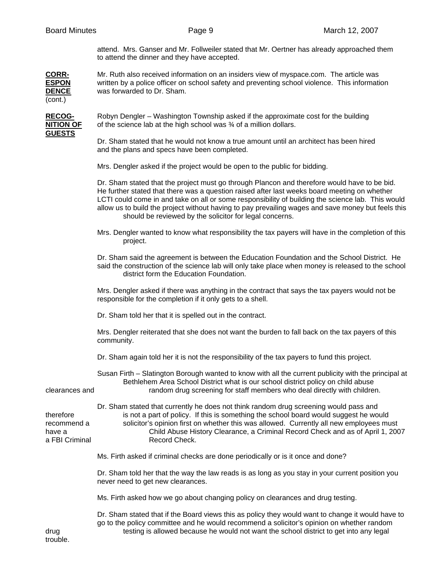attend. Mrs. Ganser and Mr. Follweiler stated that Mr. Oertner has already approached them to attend the dinner and they have accepted.

**CORR-** Mr. Ruth also received information on an insiders view of myspace.com. The article was **ESPON** written by a police officer on school safety and preventing school violence. This information **DENCE** was forwarded to Dr. Sham. (cont.)

**GUESTS**

**RECOG-** Robyn Dengler – Washington Township asked if the approximate cost for the building **NITION OF** of the science lab at the high school was  $\frac{3}{4}$  of a million dollars.

> Dr. Sham stated that he would not know a true amount until an architect has been hired and the plans and specs have been completed.

Mrs. Dengler asked if the project would be open to the public for bidding.

 Dr. Sham stated that the project must go through Plancon and therefore would have to be bid. He further stated that there was a question raised after last weeks board meeting on whether LCTI could come in and take on all or some responsibility of building the science lab. This would allow us to build the project without having to pay prevailing wages and save money but feels this should be reviewed by the solicitor for legal concerns.

 Mrs. Dengler wanted to know what responsibility the tax payers will have in the completion of this project.

 Dr. Sham said the agreement is between the Education Foundation and the School District. He said the construction of the science lab will only take place when money is released to the school district form the Education Foundation.

 Mrs. Dengler asked if there was anything in the contract that says the tax payers would not be responsible for the completion if it only gets to a shell.

Dr. Sham told her that it is spelled out in the contract.

 Mrs. Dengler reiterated that she does not want the burden to fall back on the tax payers of this community.

Dr. Sham again told her it is not the responsibility of the tax payers to fund this project.

 Susan Firth – Slatington Borough wanted to know with all the current publicity with the principal at Bethlehem Area School District what is our school district policy on child abuse clearances and random drug screening for staff members who deal directly with children.

 Dr. Sham stated that currently he does not think random drug screening would pass and therefore is not a part of policy. If this is something the school board would suggest he would recommend a solicitor's opinion first on whether this was allowed. Currently all new employees must have a Child Abuse History Clearance, a Criminal Record Check and as of April 1, 2007 a FBI Criminal Record Check.

Ms. Firth asked if criminal checks are done periodically or is it once and done?

 Dr. Sham told her that the way the law reads is as long as you stay in your current position you never need to get new clearances.

Ms. Firth asked how we go about changing policy on clearances and drug testing.

 Dr. Sham stated that if the Board views this as policy they would want to change it would have to go to the policy committee and he would recommend a solicitor's opinion on whether random drug testing is allowed because he would not want the school district to get into any legal